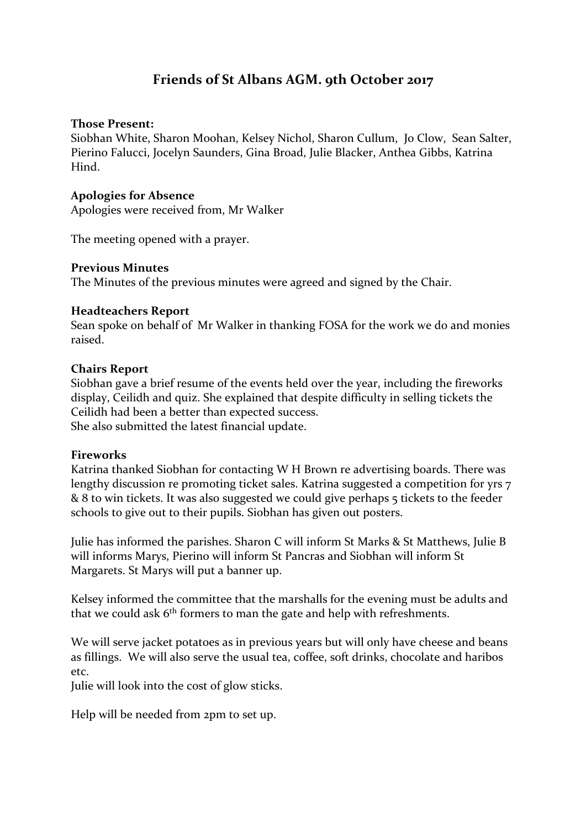# **Friends of St Albans AGM. 9th October 2017**

## **Those Present:**

Siobhan White, Sharon Moohan, Kelsey Nichol, Sharon Cullum, Jo Clow, Sean Salter, Pierino Falucci, Jocelyn Saunders, Gina Broad, Julie Blacker, Anthea Gibbs, Katrina Hind.

## **Apologies for Absence**

Apologies were received from, Mr Walker

The meeting opened with a prayer.

## **Previous Minutes**

The Minutes of the previous minutes were agreed and signed by the Chair.

## **Headteachers Report**

Sean spoke on behalf of Mr Walker in thanking FOSA for the work we do and monies raised.

## **Chairs Report**

Siobhan gave a brief resume of the events held over the year, including the fireworks display, Ceilidh and quiz. She explained that despite difficulty in selling tickets the Ceilidh had been a better than expected success. She also submitted the latest financial update.

#### **Fireworks**

Katrina thanked Siobhan for contacting W H Brown re advertising boards. There was lengthy discussion re promoting ticket sales. Katrina suggested a competition for yrs 7 & 8 to win tickets. It was also suggested we could give perhaps 5 tickets to the feeder schools to give out to their pupils. Siobhan has given out posters.

Julie has informed the parishes. Sharon C will inform St Marks & St Matthews, Julie B will informs Marys, Pierino will inform St Pancras and Siobhan will inform St Margarets. St Marys will put a banner up.

Kelsey informed the committee that the marshalls for the evening must be adults and that we could ask  $6<sup>th</sup>$  formers to man the gate and help with refreshments.

We will serve jacket potatoes as in previous years but will only have cheese and beans as fillings. We will also serve the usual tea, coffee, soft drinks, chocolate and haribos etc.

Julie will look into the cost of glow sticks.

Help will be needed from 2pm to set up.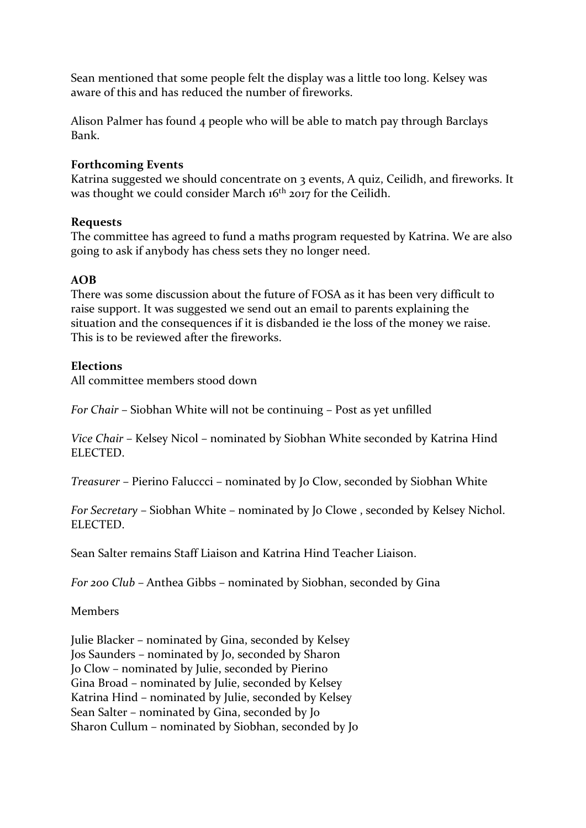Sean mentioned that some people felt the display was a little too long. Kelsey was aware of this and has reduced the number of fireworks.

Alison Palmer has found 4 people who will be able to match pay through Barclays Bank.

# **Forthcoming Events**

Katrina suggested we should concentrate on 3 events, A quiz, Ceilidh, and fireworks. It was thought we could consider March 16<sup>th</sup> 2017 for the Ceilidh.

# **Requests**

The committee has agreed to fund a maths program requested by Katrina. We are also going to ask if anybody has chess sets they no longer need.

# **AOB**

There was some discussion about the future of FOSA as it has been very difficult to raise support. It was suggested we send out an email to parents explaining the situation and the consequences if it is disbanded ie the loss of the money we raise. This is to be reviewed after the fireworks.

# **Elections**

All committee members stood down

*For Chair* – Siobhan White will not be continuing – Post as yet unfilled

*Vice Chair* – Kelsey Nicol – nominated by Siobhan White seconded by Katrina Hind ELECTED.

*Treasurer* – Pierino Faluccci – nominated by Jo Clow, seconded by Siobhan White

*For Secretary* – Siobhan White – nominated by Jo Clowe , seconded by Kelsey Nichol. ELECTED.

Sean Salter remains Staff Liaison and Katrina Hind Teacher Liaison.

*For 200 Club –* Anthea Gibbs – nominated by Siobhan, seconded by Gina

Members

Julie Blacker – nominated by Gina, seconded by Kelsey Jos Saunders – nominated by Jo, seconded by Sharon Jo Clow – nominated by Julie, seconded by Pierino Gina Broad – nominated by Julie, seconded by Kelsey Katrina Hind – nominated by Julie, seconded by Kelsey Sean Salter – nominated by Gina, seconded by Jo Sharon Cullum – nominated by Siobhan, seconded by Jo